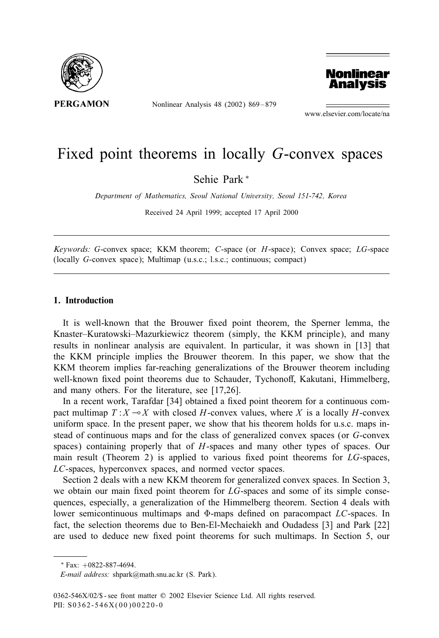

Nonlinear Analysis 48 (2002) 869 – 879



www.elsevier.com/locate/na

# Fixed point theorems in locally G-convex spaces

Sehie Park <sup>∗</sup>

*Department of Mathematics, Seoul National University, Seoul 151-742, Korea*

Received 24 April 1999; accepted 17 April 2000

*Keywords:* G-convex space; KKM theorem; C-space (or H-space); Convex space; LG-space (locally G-convex space); Multimap (u.s.c.; l.s.c.; continuous; compact)

## **1. Introduction**

It is well-known that the Brouwer fixed point theorem, the Sperner lemma, the Knaster–Kuratowski–Mazurkiewicz theorem (simply, the KKM principle), and many results in nonlinear analysis are equivalent. In particular, it was shown in [13] that the KKM principle implies the Brouwer theorem. In this paper, we show that the KKM theorem implies far-reaching generalizations of the Brouwer theorem including well-known fixed point theorems due to Schauder, Tychonoff, Kakutani, Himmelberg, and many others. For the literature, see [17,26].

In a recent work, Tarafdar [34] obtained a fixed point theorem for a continuous compact multimap  $T : X \rightarrow X$  with closed H-convex values, where X is a locally H-convex uniform space. In the present paper, we show that his theorem holds for u.s.c. maps instead of continuous maps and for the class of generalized convex spaces (or G-convex spaces) containing properly that of H-spaces and many other types of spaces. Our main result (Theorem 2) is applied to various fixed point theorems for  $LG$ -spaces, LC-spaces, hyperconvex spaces, and normed vector spaces.

Section 2 deals with a new KKM theorem for generalized convex spaces. In Section 3, we obtain our main fixed point theorem for  $LG$ -spaces and some of its simple consequences, especially, a generalization of the Himmelberg theorem. Section 4 deals with lower semicontinuous multimaps and  $\Phi$ -maps defined on paracompact LC-spaces. In fact, the selection theorems due to Ben-El-Mechaiekh and Oudadess [3] and Park [22] are used to deduce new fixed point theorems for such multimaps. In Section 5, our

<sup>∗</sup> Fax: +0822-887-4694.

*E-mail address:* shpark@math.snu.ac.kr (S. Park).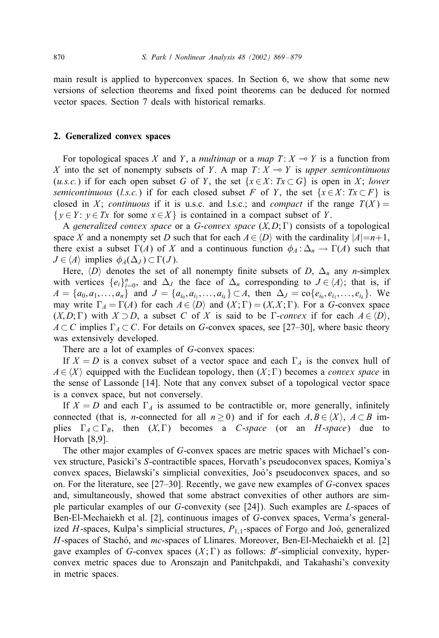main result is applied to hyperconvex spaces. In Section 6, we show that some new versions of selection theorems and fixed point theorems can be deduced for normed vector spaces. Section 7 deals with historical remarks.

# **2. Generalized convex spaces**

For topological spaces X and Y, a *multimap* or a *map*  $T: X \rightarrow Y$  is a function from X into the set of nonempty subsets of Y. A map  $T: X \to Y$  is *upper semicontinuous* (*u.s.c.*) if for each open subset G of Y, the set  $\{x \in X : Tx \subset G\}$  is open in X; lower *semicontinuous* (*l.s.c.*) if for each closed subset F of Y, the set  $\{x \in X : Tx \subset F\}$  is closed in X; *continuous* if it is u.s.c. and l.s.c.; and *compact* if the range  $T(X) =$  $\{y \in Y : y \in Tx \text{ for some } x \in X\}$  is contained in a compact subset of Y.

A *generalized convex space* or a *G-convex space*  $(X, D; \Gamma)$  consists of a topological space X and a nonempty set D such that for each  $A \in \langle D \rangle$  with the cardinality  $|A|=n+1$ , there exist a subset  $\Gamma(A)$  of X and a continuous function  $\phi_A : \Delta_n \to \Gamma(A)$  such that  $J \in \langle A \rangle$  implies  $\phi_A(\Delta_J) \subset \Gamma(J)$ .

Here,  $\langle D \rangle$  denotes the set of all nonempty finite subsets of D,  $\Delta_n$  any *n*-simplex with vertices  $\{e_i\}_{i=0}^n$ , and  $\Delta_J$  the face of  $\Delta_n$  corresponding to  $J \in \langle A \rangle$ ; that is, if  $A = \{a_0, a_1, \ldots, a_n\}$  and  $J = \{a_{i_0}, a_{i_1}, \ldots, a_{i_k}\} \subset A$ , then  $\Delta_J = \text{co}\{e_{i_0}, e_{i_1}, \ldots, e_{i_k}\}.$  We may write  $\Gamma_A = \Gamma(A)$  for each  $A \in \langle D \rangle$  and  $(X; \Gamma) = (X, X; \Gamma)$ . For a G-convex space  $(X,D;\Gamma)$  with  $X \supset D$ , a subset C of X is said to be  $\Gamma$ -*convex* if for each  $A \in \langle D \rangle$ ,  $A \subset C$  implies  $\Gamma_A \subset C$ . For details on G-convex spaces, see [27–30], where basic theory was extensively developed.

There are a lot of examples of G-convex spaces:

If  $X = D$  is a convex subset of a vector space and each  $\Gamma_A$  is the convex hull of  $A \in \langle X \rangle$  equipped with the Euclidean topology, then  $(X; \Gamma)$  becomes a *convex space* in the sense of Lassonde [14]. Note that any convex subset of a topological vector space is a convex space, but not conversely.

If  $X = D$  and each  $\Gamma_A$  is assumed to be contractible or, more generally, infinitely connected (that is, *n*-connected for all  $n \ge 0$ ) and if for each  $A, B \in \langle X \rangle$ ,  $A \subset B$  implies  $\Gamma_A \subset \Gamma_B$ , then  $(X, \Gamma)$  becomes a *C-space* (or an *H-space*) due to Horvath [8,9].

The other major examples of G-convex spaces are metric spaces with Michael's convex structure, Pasicki's S-contractible spaces, Horvath's pseudoconvex spaces, Komiya's convex spaces, Bielawski's simplicial convexities, Joó's pseudoconvex spaces, and so on. For the literature, see [27–30]. Recently, we gave new examples of G-convex spaces and, simultaneously, showed that some abstract convexities of other authors are simple particular examples of our G-convexity (see [24]). Such examples are L-spaces of Ben-El-Mechaiekh et al. [2], continuous images of G-convex spaces, Verma's generalized H-spaces, Kulpa's simplicial structures,  $P_{1,1}$ -spaces of Forgo and Joó, generalized  $H$ -spaces of Stachó, and mc-spaces of Llinares. Moreover, Ben-El-Mechaiekh et al. [2] gave examples of G-convex spaces  $(X; \Gamma)$  as follows: B'-simplicial convexity, hyperconvex metric spaces due to Aronszajn and Panitchpakdi, and Takahashi's convexity in metric spaces.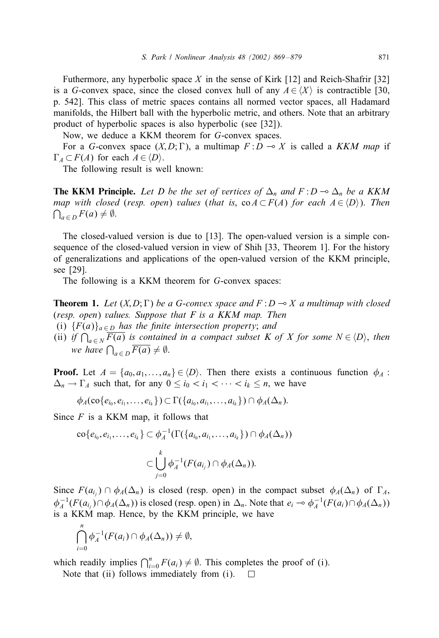Futhermore, any hyperbolic space X in the sense of Kirk [12] and Reich-Shafrir [32] is a G-convex space, since the closed convex hull of any  $A \in \langle X \rangle$  is contractible [30, p. 542]. This class of metric spaces contains all normed vector spaces, all Hadamard manifolds, the Hilbert ball with the hyperbolic metric, and others. Note that an arbitrary product of hyperbolic spaces is also hyperbolic (see [32]).

Now, we deduce a KKM theorem for G-convex spaces.

For a G-convex space  $(X, D; \Gamma)$ , a multimap  $F: D \to X$  is called a *KKM map* if  $\Gamma_A \subset F(A)$  for each  $A \in \langle D \rangle$ .

The following result is well known:

**The KKM Principle.** Let D be the set of vertices of  $\Delta_n$  and  $F: D \to \Delta_n$  be a KKM *map with closed* (*resp. open*) *values* (*that is,*  $\text{co } A \subset F(A)$  *for each*  $A \in \langle D \rangle$ *). Then*  $\bigcap_{a \in D} F(a) \neq \emptyset.$ 

The closed-valued version is due to [13]. The open-valued version is a simple consequence of the closed-valued version in view of Shih [33, Theorem 1]. For the history of generalizations and applications of the open-valued version of the KKM principle, see [29].

The following is a KKM theorem for G-convex spaces:

**Theorem 1.** Let  $(X, D; \Gamma)$  be a G-convex space and  $F: D \rightarrow X$  a multimap with closed (*resp. open*) *values. Suppose that F is a KKM map. Then*

- (i)  ${F(a)}_{a \in D}$  *has the finite intersection property; and*
- (ii) *if*  $\bigcap_{a \in N} F(a)$  *is contained in a compact subset K of X for some*  $N \in \langle D \rangle$ *, then we have*  $\bigcap_{a \in D} F(a) \neq \emptyset$ .

**Proof.** Let  $A = \{a_0, a_1, \ldots, a_n\} \in \langle D \rangle$ . Then there exists a continuous function  $\phi_A$ :  $\Delta_n \to \Gamma_A$  such that, for any  $0 \le i_0 < i_1 < \cdots < i_k \le n$ , we have

$$
\phi_A(\text{co}\{e_{i_0},e_{i_1},\ldots,e_{i_k}\})\subset \Gamma(\{a_{i_0},a_{i_1},\ldots,a_{i_k}\})\cap \phi_A(\Delta_n).
$$

Since  $F$  is a KKM map, it follows that

$$
\text{co}\{e_{i_0}, e_{i_1}, \ldots, e_{i_k}\} \subset \phi_A^{-1}(\Gamma(\{a_{i_0}, a_{i_1}, \ldots, a_{i_k}\}) \cap \phi_A(\Delta_n))
$$

$$
\subset \bigcup_{j=0}^k \phi_A^{-1}(F(a_{i_j}) \cap \phi_A(\Delta_n)).
$$

Since  $F(a_{i_j}) \cap \phi_A(\Delta_n)$  is closed (resp. open) in the compact subset  $\phi_A(\Delta_n)$  of  $\Gamma_A$ ,  $\phi_A^{-1}(F(a_{i_j}) \cap \phi_A(\Delta_n))$  is closed (resp. open) in  $\Delta_n$ . Note that  $e_i \to \phi_A^{-1}(F(a_i) \cap \phi_A(\Delta_n))$ is a KKM map. Hence, by the KKM principle, we have

$$
\bigcap_{i=0}^n \phi_A^{-1}(F(a_i) \cap \phi_A(\Delta_n)) \neq \emptyset,
$$

which readily implies  $\bigcap_{i=0}^{n} F(a_i) \neq \emptyset$ . This completes the proof of (i).

Note that (ii) follows immediately from (i). $\Box$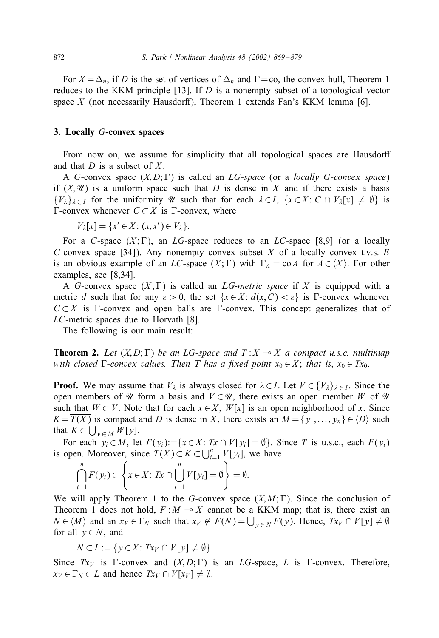For  $X = \Delta_n$ , if D is the set of vertices of  $\Delta_n$  and  $\Gamma = \infty$ , the convex hull, Theorem 1 reduces to the KKM principle [13]. If  $D$  is a nonempty subset of a topological vector space  $X$  (not necessarily Hausdorff), Theorem 1 extends Fan's KKM lemma [6].

# **3. Locally** G**-convex spaces**

From now on, we assume for simplicity that all topological spaces are Hausdorff and that  $D$  is a subset of  $X$ .

A G-convex space  $(X, D; \Gamma)$  is called an LG-space (or a *locally G-convex space*) if  $(X, \mathcal{U})$  is a uniform space such that D is dense in X and if there exists a basis  $\{V_{\lambda}\}_{\lambda\in I}$  for the uniformity W such that for each  $\lambda\in I$ ,  $\{x\in X: C\cap V_{\lambda}[x]\neq \emptyset\}$  is  $\Gamma$ -convex whenever  $C \subset X$  is  $\Gamma$ -convex, where

$$
V_{\lambda}[x] = \{x' \in X : (x, x') \in V_{\lambda}\}.
$$

For a C-space  $(X;\Gamma)$ , an LG-space reduces to an LC-space [8,9] (or a locally C-convex space [34]). Any nonempty convex subset  $X$  of a locally convex t.v.s.  $E$ is an obvious example of an LC-space  $(X; \Gamma)$  with  $\Gamma_A = \text{co }A$  for  $A \in \langle X \rangle$ . For other examples, see [8,34].

A G-convex space  $(X; \Gamma)$  is called an *LG-metric space* if X is equipped with a metric d such that for any  $\varepsilon > 0$ , the set  $\{x \in X : d(x, C) < \varepsilon\}$  is  $\Gamma$ -convex whenever  $C \subset X$  is Γ-convex and open balls are Γ-convex. This concept generalizes that of LC-metric spaces due to Horvath [8].

The following is our main result:

**Theorem 2.** Let  $(X, D; \Gamma)$  be an LG-space and  $T: X \to X$  a compact u.s.c. multimap *with closed*  $\Gamma$ *-convex values. Then T* has a fixed point  $x_0 \in X$ ; *that is*,  $x_0 \in Tx_0$ .

**Proof.** We may assume that  $V_{\lambda}$  is always closed for  $\lambda \in I$ . Let  $V \in \{V_{\lambda}\}_{{\lambda} \in I}$ . Since the open members of  $\mathcal U$  form a basis and  $V \in \mathcal U$ , there exists an open member W of  $\mathcal U$ such that  $W \subset V$ . Note that for each  $x \in X$ ,  $W[x]$  is an open neighborhood of x. Since  $K = T(X)$  is compact and D is dense in X, there exists an  $M = \{y_1, \ldots, y_n\} \in \langle D \rangle$  such that  $K \subset \bigcup_{y \in M} W[y]$ .

For each  $y_i \in M$ , let  $F(y_i) := \{x \in X : Tx \cap V[y_i] = \emptyset\}$ . Since T is u.s.c., each  $F(y_i)$ is open. Moreover, since  $T(X) \subset K \subset \bigcup_{i=1}^n V[y_i]$ , we have

$$
\bigcap_{i=1}^n F(y_i) \subset \left\{ x \in X \colon Tx \cap \bigcup_{i=1}^n V[y_i] = \emptyset \right\} = \emptyset.
$$

We will apply Theorem 1 to the G-convex space  $(X, M; \Gamma)$ . Since the conclusion of Theorem 1 does not hold,  $F : M \rightarrow X$  cannot be a KKM map; that is, there exist an  $N \in \langle M \rangle$  and an  $x_V \in \Gamma_N$  such that  $x_V \notin F(N) = \bigcup_{y \in N} F(y)$ . Hence,  $T x_V \cap V[y] \neq \emptyset$ for all  $y \in N$ , and

$$
N\subset L:=\left\{y\in X\colon Tx_V\cap V[y]\neq\emptyset\right\}.
$$

Since  $Tx_V$  is  $\Gamma$ -convex and  $(X, D; \Gamma)$  is an  $LG$ -space, L is  $\Gamma$ -convex. Therefore,  $x_V \in \Gamma_N \subset L$  and hence  $Tx_V \cap V[x_V] \neq \emptyset$ .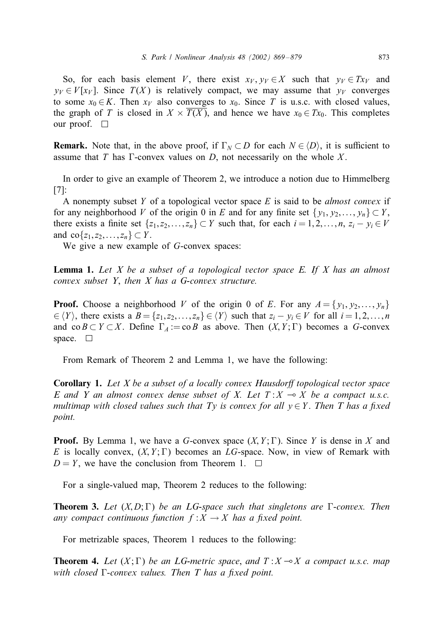So, for each basis element V, there exist  $x_V, y_V \in X$  such that  $y_V \in T_{x_V}$  and  $y_V \in V[x_V]$ . Since  $T(X)$  is relatively compact, we may assume that  $y_V$  converges to some  $x_0 \in K$ . Then  $x_V$  also converges to  $x_0$ . Since T is u.s.c. with closed values, the graph of T is closed in  $X \times T(X)$ , and hence we have  $x_0 \in Tx_0$ . This completes our proof. □

**Remark.** Note that, in the above proof, if  $\Gamma_N \subset D$  for each  $N \in \langle D \rangle$ , it is sufficient to assume that T has  $\Gamma$ -convex values on D, not necessarily on the whole X.

In order to give an example of Theorem 2, we introduce a notion due to Himmelberg [7]:

A nonempty subset Y of a topological vector space E is said to be *almost convex* if for any neighborhood V of the origin 0 in E and for any finite set  $\{y_1, y_2, \ldots, y_n\} \subset Y$ , there exists a finite set  $\{z_1, z_2, \ldots, z_n\} \subset Y$  such that, for each  $i = 1, 2, \ldots, n$ ,  $z_i - y_i \in V$ and  $\text{co}\{z_1, z_2, \ldots, z_n\} \subset Y$ .

We give a new example of G-convex spaces:

**Lemma 1.** *Let X be a subset of a topological vector space E. If X has an almost convex subset Y*, *then X has a G-convex structure.*

**Proof.** Choose a neighborhood V of the origin 0 of E. For any  $A = \{y_1, y_2, \ldots, y_n\}$  $\{ \in \langle Y \rangle \}$ , there exists a  $B = \{z_1, z_2, \ldots, z_n\} \in \langle Y \rangle$  such that  $z_i - y_i \in V$  for all  $i = 1, 2, \ldots, n$ and co  $B \subset Y \subset X$ . Define  $\Gamma_A := \text{co } B$  as above. Then  $(X, Y; \Gamma)$  becomes a G-convex space.  $\square$ 

From Remark of Theorem 2 and Lemma 1, we have the following:

**Corollary 1.** Let *X* be a subset of a locally convex Hausdorff topological vector space *E* and *Y* an almost convex dense subset of *X*. Let  $T: X \rightarrow X$  be a compact u.s.c. *multimap with closed values such that Ty is convex for all*  $y \in Y$ . *Then T has a fixed point.*

**Proof.** By Lemma 1, we have a G-convex space  $(X, Y; \Gamma)$ . Since Y is dense in X and E is locally convex,  $(X, Y; \Gamma)$  becomes an LG-space. Now, in view of Remark with  $D = Y$ , we have the conclusion from Theorem 1.  $\Box$ 

For a single-valued map, Theorem 2 reduces to the following:

**Theorem 3.** Let  $(X, D; \Gamma)$  be an LG-space such that singletons are  $\Gamma$ -convex. Then *any compact continuous function*  $f : X \to X$  *has a fixed point.* 

For metrizable spaces, Theorem 1 reduces to the following:

**Theorem 4.** Let  $(X; \Gamma)$  be an LG-metric space, and  $T: X \rightarrow X$  a compact u.s.c. map with closed  $\Gamma$ -convex values. Then T has a fixed point.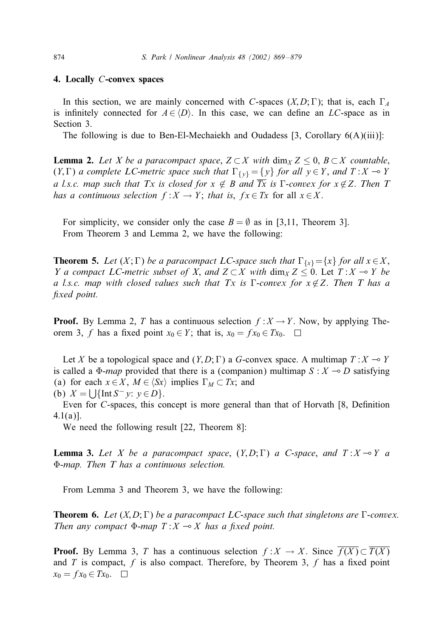#### **4. Locally** C**-convex spaces**

In this section, we are mainly concerned with C-spaces  $(X, D; \Gamma)$ ; that is, each  $\Gamma_A$ is infinitely connected for  $A \in \langle D \rangle$ . In this case, we can define an LC-space as in Section 3.

The following is due to Ben-El-Mechaiekh and Oudadess [3, Corollary  $6(A)(iii)$ ]:

**Lemma 2.** *Let X be a paracompact space*,  $Z \subset X$  *with*  $\dim_X Z \leq 0$ ,  $B \subset X$  *countable*,  $(Y, \Gamma)$  *a complete LC-metric space such that*  $\Gamma_{\{y\}} = \{y\}$  *for all*  $y \in Y$ *, and*  $T : X \to Y$ *a l.s.c. map such that Tx is closed for*  $x \notin B$  *and*  $\overline{Tx}$  *is*  $\Gamma$ *-convex for*  $x \notin Z$ *. Then*  $T$ *has a continuous selection*  $f : X \to Y$ ; *that is,*  $f x \in Tx$  for all  $x \in X$ .

For simplicity, we consider only the case  $B = \emptyset$  as in [3,11, Theorem 3]. From Theorem 3 and Lemma 2, we have the following:

**Theorem 5.** Let  $(X; \Gamma)$  be a paracompact LC-space such that  $\Gamma_{\{x\}} = \{x\}$  for all  $x \in X$ , *Y* a compact LC-metric subset of X, and  $Z \subset X$  with  $\dim_X Z \leq 0$ . Let  $T : X \to Y$  be *a l.s.c. map with closed values such that Tx is*  $\Gamma$ -*convex for*  $x \notin Z$ . Then T has a fixed point.

**Proof.** By Lemma 2, T has a continuous selection  $f: X \to Y$ . Now, by applying Theorem 3, f has a fixed point  $x_0 \in Y$ ; that is,  $x_0 = fx_0 \in Tx_0$ .  $\Box$ 

Let X be a topological space and  $(Y, D; \Gamma)$  a G-convex space. A multimap  $T : X \to Y$ is called a  $\Phi$ -*map* provided that there is a (companion) multimap  $S : X \rightarrow D$  satisfying (a) for each  $x \in X$ ,  $M \in \langle Sx \rangle$  implies  $\Gamma_M \subset Tx$ ; and (b)  $X = \bigcup \{ \text{Int } S^{-} y: y \in D \}.$ 

Even for  $C$ -spaces, this concept is more general than that of Horvath  $[8,$  Definition  $4.1(a)$ ].

We need the following result [22, Theorem 8]:

**Lemma 3.** Let X be a paracompact space,  $(Y, D; \Gamma)$  a C-space, and  $T: X \rightarrow Y$  a >-*map. Then T has a continuous selection.*

From Lemma 3 and Theorem 3, we have the following:

**Theorem 6.** Let  $(X, D; \Gamma)$  be a paracompact LC-space such that singletons are  $\Gamma$ -convex. *Then any compact*  $\Phi$ *-map*  $T: X \rightarrow X$  *has a fixed point.* 

**Proof.** By Lemma 3, T has a continuous selection  $f: X \to X$ . Since  $\overline{f(X)} \subset \overline{T(X)}$ and  $T$  is compact,  $f$  is also compact. Therefore, by Theorem 3,  $f$  has a fixed point  $x_0 = fx_0 \in Tx_0$ .  $\Box$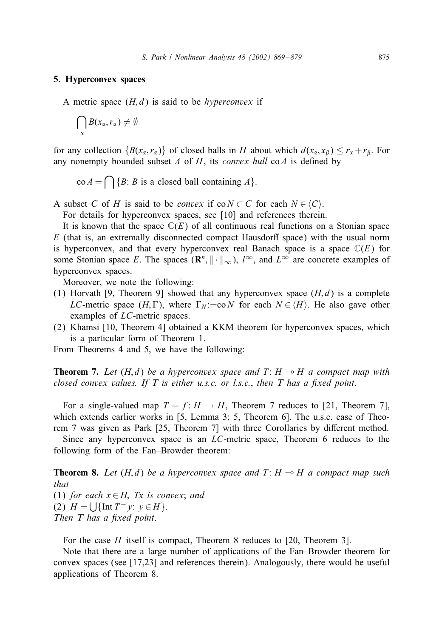#### **5. Hyperconvex spaces**

A metric space  $(H, d)$  is said to be *hyperconvex* if

$$
\bigcap_{\alpha} B(x_{\alpha}, r_{\alpha}) \neq \emptyset
$$

for any collection  $\{B(x_7, r_7)\}$  of closed balls in H about which  $d(x_7, x_8) \le r_7 + r_6$ . For any nonempty bounded subset  $A$  of  $H$ , its *convex hull* co $A$  is defined by

$$
\operatorname{co} A = \bigcap \{ B \colon B \text{ is a closed ball containing } A \}.
$$

A subset C of H is said to be *convex* if  $co N \subset C$  for each  $N \in \langle C \rangle$ .

For details for hyperconvex spaces, see [10] and references therein.

It is known that the space  $\mathbb{C}(E)$  of all continuous real functions on a Stonian space  $E$  (that is, an extremally disconnected compact Hausdorff space) with the usual norm is hyperconvex, and that every hyperconvex real Banach space is a space  $\mathbb{C}(E)$  for some Stonian space E. The spaces  $(\mathbb{R}^n, \|\cdot\|_{\infty})$ ,  $l^{\infty}$ , and  $L^{\infty}$  are concrete examples of hyperconvex spaces.

Moreover, we note the following:

- (1) Horvath [9, Theorem 9] showed that any hyperconvex space  $(H, d)$  is a complete LC-metric space  $(H, \Gamma)$ , where  $\Gamma_N := \text{co } N$  for each  $N \in \langle H \rangle$ . He also gave other examples of LC-metric spaces.
- (2) Khamsi [10, Theorem 4] obtained a KKM theorem for hyperconvex spaces, which is a particular form of Theorem 1.

From Theorems 4 and 5, we have the following:

**Theorem 7.** Let  $(H,d)$  be a hyperconvex space and  $T: H \rightarrow H$  a compact map with *closed convex values. If T is either u.s.c. or l.s.c., then T has a fixed point.* 

For a single-valued map  $T = f: H \rightarrow H$ , Theorem 7 reduces to [21, Theorem 7], which extends earlier works in [5, Lemma 3; 5, Theorem 6]. The u.s.c. case of Theorem 7 was given as Park [25, Theorem 7] with three Corollaries by different method.

Since any hyperconvex space is an LC-metric space, Theorem 6 reduces to the following form of the Fan–Browder theorem:

**Theorem 8.** Let  $(H,d)$  be a hyperconvex space and  $T: H \rightarrow H$  a compact map such *that* (1) *for each*  $x \in H$ , *Tx is convex; and* (2)  $H = |\{\text{Int } T^- v: v \in H\}.$ *Then T has a fixed point.* 

For the case  $H$  itself is compact, Theorem 8 reduces to [20, Theorem 3].

Note that there are a large number of applications of the Fan–Browder theorem for convex spaces (see [17,23] and references therein). Analogously, there would be useful applications of Theorem 8.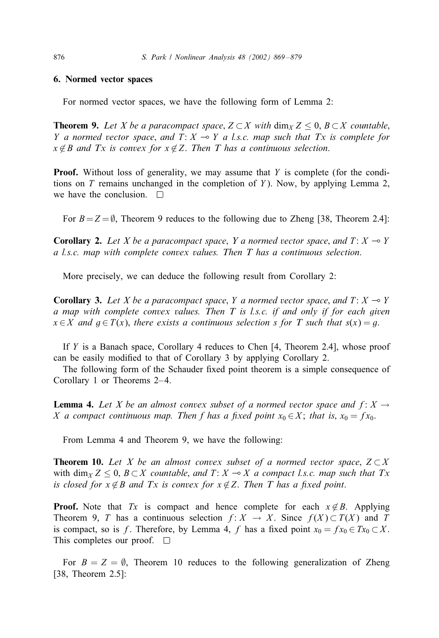## **6. Normed vector spaces**

For normed vector spaces, we have the following form of Lemma 2:

**Theorem 9.** Let X be a paracompact space,  $Z \subset X$  with  $\dim_X Z \leq 0$ ,  $B \subset X$  countable, *Y a* normed vector space, and  $T: X \rightarrow Y$  *a l.s.c. map such that Tx is complete for*  $x \notin B$  *and Tx is convex for*  $x \notin Z$ . *Then T has a continuous selection.* 

**Proof.** Without loss of generality, we may assume that Y is complete (for the conditions on  $T$  remains unchanged in the completion of  $Y$ ). Now, by applying Lemma 2, we have the conclusion.  $\square$ 

For  $B = Z = \emptyset$ , Theorem 9 reduces to the following due to Zheng [38, Theorem 2.4]:

**Corollary 2.** Let X be a paracompact space, Y a normed vector space, and  $T: X \rightarrow Y$ *a l.s.c. map with complete convex values. Then T has a continuous selection*.

More precisely, we can deduce the following result from Corollary 2:

**Corollary 3.** Let X be a paracompact space, Y a normed vector space, and  $T: X \to Y$ *a map with complete convex values. Then T is l.s.c. if and only if for each given*  $x \in X$  and  $q \in T(x)$ , there exists a continuous selection s for T such that  $s(x) = q$ .

If  $Y$  is a Banach space, Corollary 4 reduces to Chen  $[4,$  Theorem 2.4], whose proof can be easily modified to that of Corollary 3 by applying Corollary 2.

The following form of the Schauder fixed point theorem is a simple consequence of Corollary 1 or Theorems 2–4.

**Lemma 4.** Let X be an almost convex subset of a normed vector space and  $f: X \rightarrow$ X *a* compact continuous map. Then f has a fixed point  $x_0 \in X$ ; that is,  $x_0 = fx_0$ .

From Lemma 4 and Theorem 9, we have the following:

**Theorem 10.** Let X be an almost convex subset of a normed vector space,  $Z \subset X$ with dim<sub>X</sub>  $Z \le 0$ ,  $B \subset X$  *countable, and*  $T: X \to X$  *a compact l.s.c. map such that*  $Tx$ *is closed for*  $x \notin B$  *and*  $Tx$  *is convex for*  $x \notin Z$ . *Then*  $T$  *has a fixed point.* 

**Proof.** Note that Tx is compact and hence complete for each  $x \notin B$ . Applying Theorem 9, T has a continuous selection  $f: X \to X$ . Since  $f(X) \subset T(X)$  and T is compact, so is f. Therefore, by Lemma 4, f has a fixed point  $x_0 = fx_0 \subset Tx_0 \subset X$ . This completes our proof.  $\square$ 

For  $B = Z = \emptyset$ , Theorem 10 reduces to the following generalization of Zheng [38, Theorem 2.5]: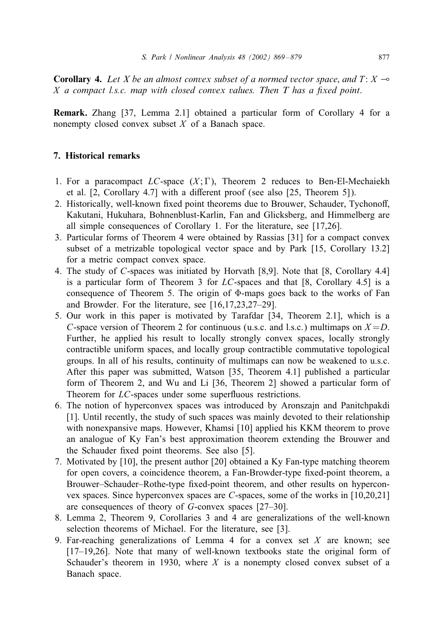**Corollary 4.** Let X be an almost convex subset of a normed vector space, and  $T: X \rightarrow$ X a compact l.s.c. map with closed convex values. Then T has a fixed point.

**Remark.** Zhang [37, Lemma 2:1] obtained a particular form of Corollary 4 for a nonempty closed convex subset  $X$  of a Banach space.

# **7. Historical remarks**

- 1. For a paracompact  $LC$ -space  $(X; \Gamma)$ , Theorem 2 reduces to Ben-El-Mechaiekh et al.  $[2, Corollary 4.7]$  with a different proof (see also  $[25, Theorem 5]$ ).
- 2. Historically, well-known fixed point theorems due to Brouwer, Schauder, Tychonoff, Kakutani, Hukuhara, Bohnenblust-Karlin, Fan and Glicksberg, and Himmelberg are all simple consequences of Corollary 1. For the literature, see [17,26].
- 3. Particular forms of Theorem 4 were obtained by Rassias [31] for a compact convex subset of a metrizable topological vector space and by Park [15, Corollary 13.2] for a metric compact convex space.
- 4. The study of C-spaces was initiated by Horvath [8,9]. Note that [8, Corollary 4:4] is a particular form of Theorem 3 for  $LC$ -spaces and that [8, Corollary 4.5] is a consequence of Theorem 5. The origin of  $\Phi$ -maps goes back to the works of Fan and Browder. For the literature, see [16,17,23,27–29].
- 5. Our work in this paper is motivated by Tarafdar [34, Theorem 2:1], which is a C-space version of Theorem 2 for continuous (u.s.c. and l.s.c.) multimaps on  $X = D$ . Further, he applied his result to locally strongly convex spaces, locally strongly contractible uniform spaces, and locally group contractible commutative topological groups. In all of his results, continuity of multimaps can now be weakened to u.s.c. After this paper was submitted, Watson [35, Theorem 4:1] published a particular form of Theorem 2, and Wu and Li [36, Theorem 2] showed a particular form of Theorem for LC-spaces under some superfluous restrictions.
- 6. The notion of hyperconvex spaces was introduced by Aronszajn and Panitchpakdi [1]. Until recently, the study of such spaces was mainly devoted to their relationship with nonexpansive maps. However, Khamsi [10] applied his KKM theorem to prove an analogue of Ky Fan's best approximation theorem extending the Brouwer and the Schauder fixed point theorems. See also [5].
- 7. Motivated by [10], the present author [20] obtained a Ky Fan-type matching theorem for open covers, a coincidence theorem, a Fan-Browder-type fixed-point theorem, a Brouwer–Schauder–Rothe-type fixed-point theorem, and other results on hyperconvex spaces. Since hyperconvex spaces are C-spaces, some of the works in [10,20,21] are consequences of theory of G-convex spaces [27–30].
- 8. Lemma 2, Theorem 9, Corollaries 3 and 4 are generalizations of the well-known selection theorems of Michael. For the literature, see [3].
- 9. Far-reaching generalizations of Lemma 4 for a convex set  $X$  are known; see [17–19,26]. Note that many of well-known textbooks state the original form of Schauder's theorem in 1930, where  $X$  is a nonempty closed convex subset of a Banach space.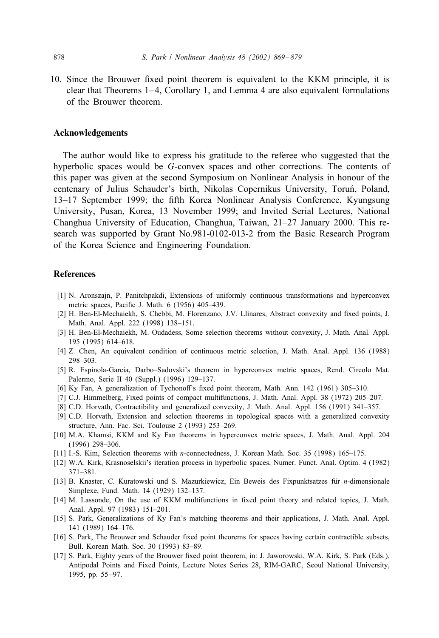10. Since the Brouwer fixed point theorem is equivalent to the KKM principle, it is clear that Theorems  $1-4$ , Corollary 1, and Lemma 4 are also equivalent formulations of the Brouwer theorem.

# **Acknowledgements**

The author would like to express his gratitude to the referee who suggested that the hyperbolic spaces would be G-convex spaces and other corrections. The contents of this paper was given at the second Symposium on Nonlinear Analysis in honour of the centenary of Julius Schauder's birth, Nikolas Copernikus University, Toruń, Poland, 13–17 September 1999; the fifth Korea Nonlinear Analysis Conference, Kyungsung University, Pusan, Korea, 13 November 1999; and Invited Serial Lectures, National Changhua University of Education, Changhua, Taiwan, 21–27 January 2000. This research was supported by Grant No.981-0102-013-2 from the Basic Research Program of the Korea Science and Engineering Foundation.

#### **References**

- [1] N. Aronszajn, P. Panitchpakdi, Extensions of uniformly continuous transformations and hyperconvex metric spaces, Pacific J. Math. 6 (1956) 405-439.
- [2] H. Ben-El-Mechaiekh, S. Chebbi, M. Florenzano, J.V. Llinares, Abstract convexity and fixed points, J. Math. Anal. Appl. 222 (1998) 138–151.
- [3] H. Ben-El-Mechaiekh, M. Oudadess, Some selection theorems without convexity, J. Math. Anal. Appl. 195 (1995) 614–618.
- [4] Z. Chen, An equivalent condition of continuous metric selection, J. Math. Anal. Appl. 136 (1988) 298–303.
- [5] R. Espinola-Garcia, Darbo–Sadovski's theorem in hyperconvex metric spaces, Rend. Circolo Mat. Palermo, Serie II 40 (Suppl.) (1996) 129–137.
- [6] Ky Fan, A generalization of Tychonoff's fixed point theorem, Math. Ann. 142 (1961) 305–310.
- [7] C.J. Himmelberg, Fixed points of compact multifunctions, J. Math. Anal. Appl. 38 (1972) 205-207.
- [8] C.D. Horvath, Contractibility and generalized convexity, J. Math. Anal. Appl. 156 (1991) 341–357.
- [9] C.D. Horvath, Extension and selection theorems in topological spaces with a generalized convexity structure, Ann. Fac. Sci. Toulouse 2 (1993) 253–269.
- [10] M.A. Khamsi, KKM and Ky Fan theorems in hyperconvex metric spaces, J. Math. Anal. Appl. 204 (1996) 298–306.
- [11] I.-S. Kim, Selection theorems with n-connectedness, J. Korean Math. Soc. 35 (1998) 165–175.
- [12] W.A. Kirk, Krasnoselskii's iteration process in hyperbolic spaces, Numer. Funct. Anal. Optim. 4 (1982) 371–381.
- [13] B. Knaster, C. Kuratowski und S. Mazurkiewicz, Ein Beweis des Fixpunktsatzes für n-dimensionale Simplexe, Fund. Math. 14 (1929) 132–137.
- [14] M. Lassonde, On the use of KKM multifunctions in fixed point theory and related topics, J. Math. Anal. Appl. 97 (1983) 151–201.
- [15] S. Park, Generalizations of Ky Fan's matching theorems and their applications, J. Math. Anal. Appl. 141 (1989) 164–176.
- [16] S. Park, The Brouwer and Schauder fixed point theorems for spaces having certain contractible subsets, Bull. Korean Math. Soc. 30 (1993) 83–89.
- [17] S. Park, Eighty years of the Brouwer fixed point theorem, in: J. Jaworowski, W.A. Kirk, S. Park (Eds.), Antipodal Points and Fixed Points, Lecture Notes Series 28, RIM-GARC, Seoul National University, 1995, pp. 55 –97.